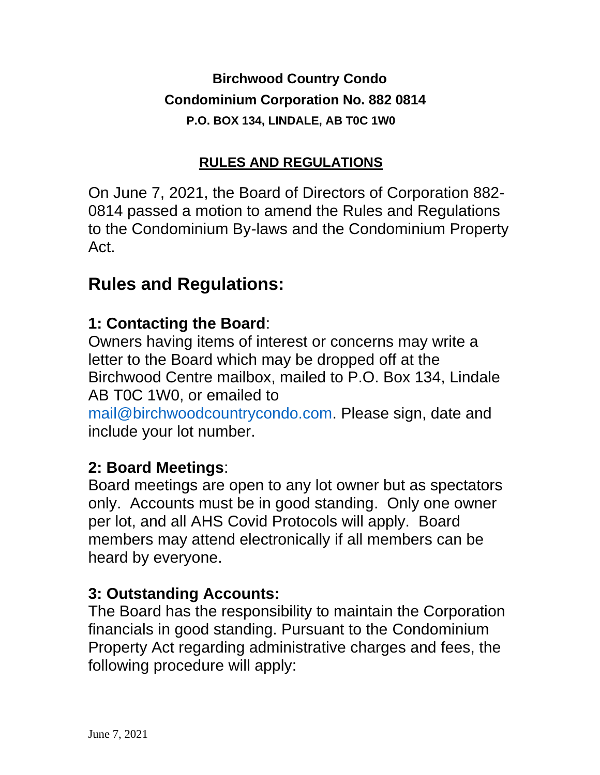**Birchwood Country Condo Condominium Corporation No. 882 0814 P.O. BOX 134, LINDALE, AB T0C 1W0**

#### **RULES AND REGULATIONS**

On June 7, 2021, the Board of Directors of Corporation 882- 0814 passed a motion to amend the Rules and Regulations to the Condominium By-laws and the Condominium Property Act.

# **Rules and Regulations:**

## **1: Contacting the Board**:

Owners having items of interest or concerns may write a letter to the Board which may be dropped off at the Birchwood Centre mailbox, mailed to P.O. Box 134, Lindale AB T0C 1W0, or emailed to

mail@birchwoodcountrycondo.com. Please sign, date and include your lot number.

## **2: Board Meetings**:

Board meetings are open to any lot owner but as spectators only. Accounts must be in good standing. Only one owner per lot, and all AHS Covid Protocols will apply. Board members may attend electronically if all members can be heard by everyone.

## **3: Outstanding Accounts:**

The Board has the responsibility to maintain the Corporation financials in good standing. Pursuant to the Condominium Property Act regarding administrative charges and fees, the following procedure will apply: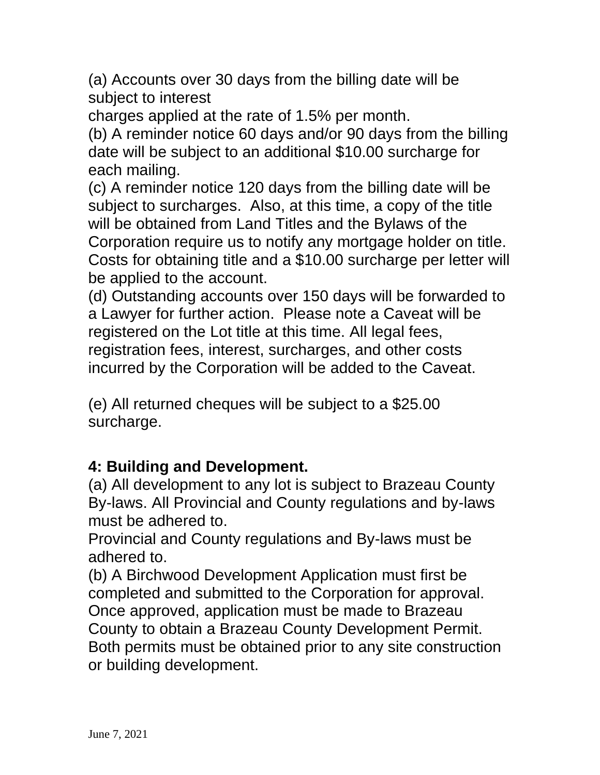(a) Accounts over 30 days from the billing date will be subject to interest

charges applied at the rate of 1.5% per month.

(b) A reminder notice 60 days and/or 90 days from the billing date will be subject to an additional \$10.00 surcharge for each mailing.

(c) A reminder notice 120 days from the billing date will be subject to surcharges. Also, at this time, a copy of the title will be obtained from Land Titles and the Bylaws of the Corporation require us to notify any mortgage holder on title. Costs for obtaining title and a \$10.00 surcharge per letter will be applied to the account.

(d) Outstanding accounts over 150 days will be forwarded to a Lawyer for further action. Please note a Caveat will be registered on the Lot title at this time. All legal fees, registration fees, interest, surcharges, and other costs incurred by the Corporation will be added to the Caveat.

(e) All returned cheques will be subject to a \$25.00 surcharge.

## **4: Building and Development.**

(a) All development to any lot is subject to Brazeau County By-laws. All Provincial and County regulations and by-laws must be adhered to.

Provincial and County regulations and By-laws must be adhered to.

(b) A Birchwood Development Application must first be completed and submitted to the Corporation for approval. Once approved, application must be made to Brazeau County to obtain a Brazeau County Development Permit. Both permits must be obtained prior to any site construction or building development.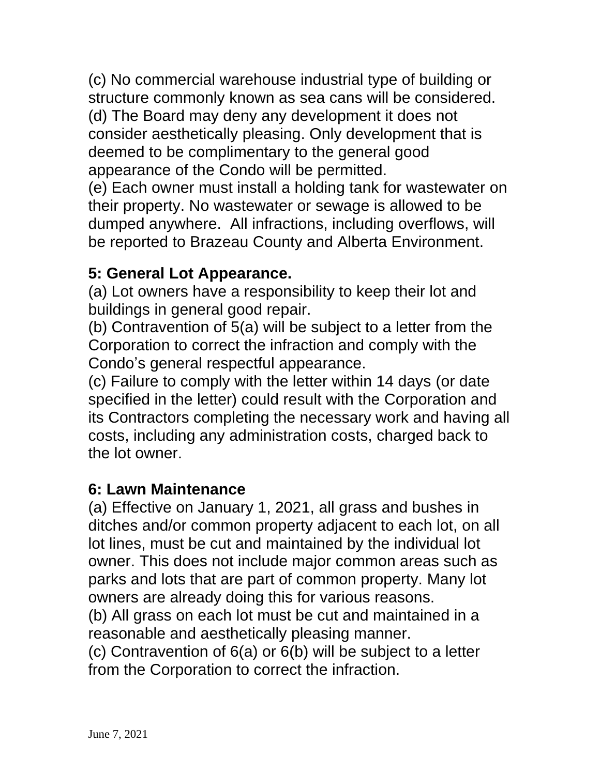(c) No commercial warehouse industrial type of building or structure commonly known as sea cans will be considered. (d) The Board may deny any development it does not consider aesthetically pleasing. Only development that is deemed to be complimentary to the general good appearance of the Condo will be permitted.

(e) Each owner must install a holding tank for wastewater on their property. No wastewater or sewage is allowed to be dumped anywhere. All infractions, including overflows, will be reported to Brazeau County and Alberta Environment.

#### **5: General Lot Appearance.**

(a) Lot owners have a responsibility to keep their lot and buildings in general good repair.

(b) Contravention of 5(a) will be subject to a letter from the Corporation to correct the infraction and comply with the Condo's general respectful appearance.

(c) Failure to comply with the letter within 14 days (or date specified in the letter) could result with the Corporation and its Contractors completing the necessary work and having all costs, including any administration costs, charged back to the lot owner.

#### **6: Lawn Maintenance**

(a) Effective on January 1, 2021, all grass and bushes in ditches and/or common property adjacent to each lot, on all lot lines, must be cut and maintained by the individual lot owner. This does not include major common areas such as parks and lots that are part of common property. Many lot owners are already doing this for various reasons.

(b) All grass on each lot must be cut and maintained in a reasonable and aesthetically pleasing manner.

(c) Contravention of 6(a) or 6(b) will be subject to a letter from the Corporation to correct the infraction.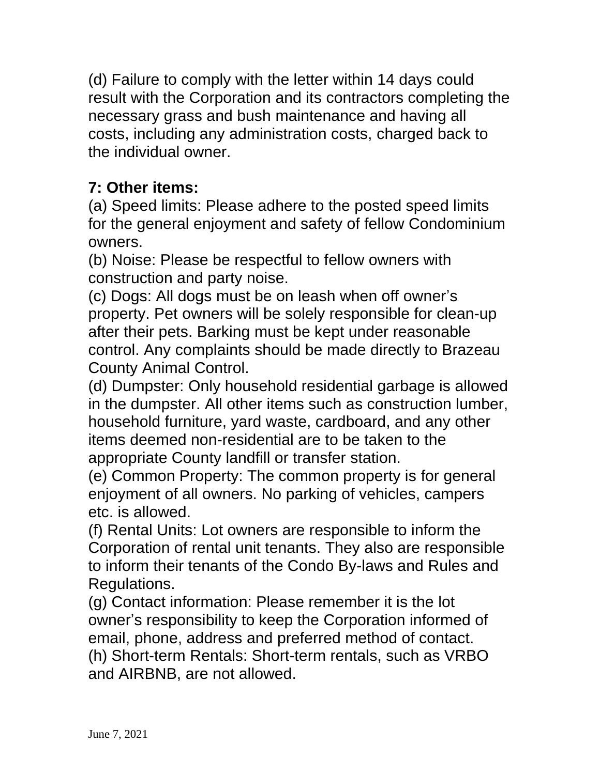(d) Failure to comply with the letter within 14 days could result with the Corporation and its contractors completing the necessary grass and bush maintenance and having all costs, including any administration costs, charged back to the individual owner.

## **7: Other items:**

(a) Speed limits: Please adhere to the posted speed limits for the general enjoyment and safety of fellow Condominium owners.

(b) Noise: Please be respectful to fellow owners with construction and party noise.

(c) Dogs: All dogs must be on leash when off owner's property. Pet owners will be solely responsible for clean-up after their pets. Barking must be kept under reasonable control. Any complaints should be made directly to Brazeau County Animal Control.

(d) Dumpster: Only household residential garbage is allowed in the dumpster. All other items such as construction lumber, household furniture, yard waste, cardboard, and any other items deemed non-residential are to be taken to the appropriate County landfill or transfer station.

(e) Common Property: The common property is for general enjoyment of all owners. No parking of vehicles, campers etc. is allowed.

(f) Rental Units: Lot owners are responsible to inform the Corporation of rental unit tenants. They also are responsible to inform their tenants of the Condo By-laws and Rules and Regulations.

(g) Contact information: Please remember it is the lot owner's responsibility to keep the Corporation informed of email, phone, address and preferred method of contact. (h) Short-term Rentals: Short-term rentals, such as VRBO and AIRBNB, are not allowed.